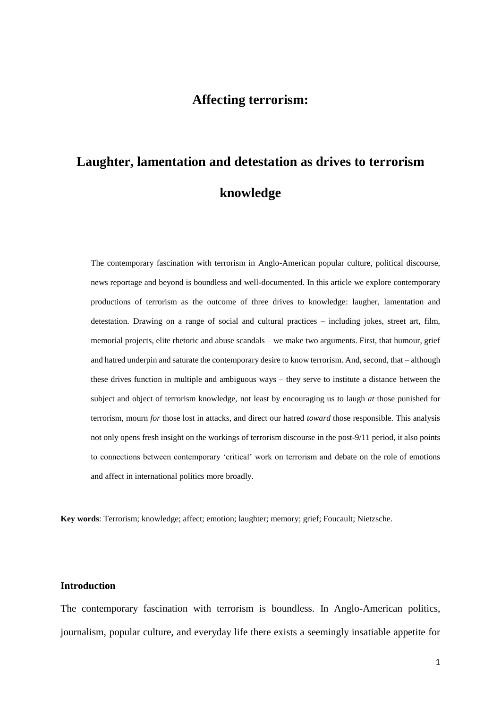# **Affecting terrorism:**

# **Laughter, lamentation and detestation as drives to terrorism knowledge**

The contemporary fascination with terrorism in Anglo-American popular culture, political discourse, news reportage and beyond is boundless and well-documented. In this article we explore contemporary productions of terrorism as the outcome of three drives to knowledge: laugher, lamentation and detestation. Drawing on a range of social and cultural practices – including jokes, street art, film, memorial projects, elite rhetoric and abuse scandals – we make two arguments. First, that humour, grief and hatred underpin and saturate the contemporary desire to know terrorism. And, second, that – although these drives function in multiple and ambiguous ways – they serve to institute a distance between the subject and object of terrorism knowledge, not least by encouraging us to laugh *at* those punished for terrorism, mourn *for* those lost in attacks, and direct our hatred *toward* those responsible. This analysis not only opens fresh insight on the workings of terrorism discourse in the post-9/11 period, it also points to connections between contemporary 'critical' work on terrorism and debate on the role of emotions and affect in international politics more broadly.

**Key words**: Terrorism; knowledge; affect; emotion; laughter; memory; grief; Foucault; Nietzsche.

#### **Introduction**

The contemporary fascination with terrorism is boundless. In Anglo-American politics, journalism, popular culture, and everyday life there exists a seemingly insatiable appetite for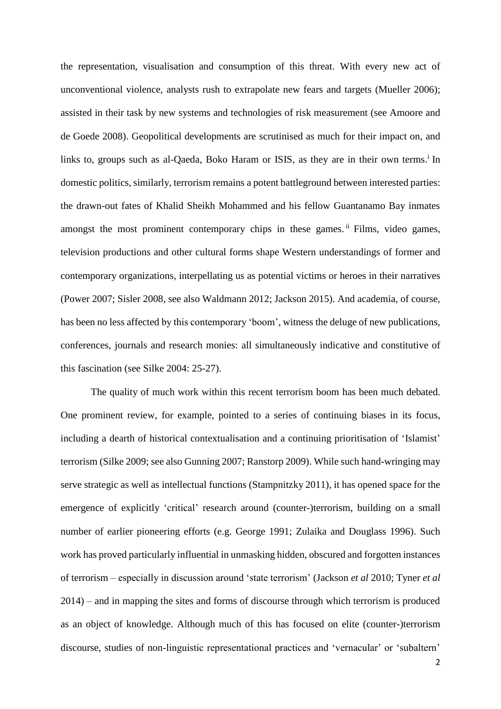the representation, visualisation and consumption of this threat. With every new act of unconventional violence, analysts rush to extrapolate new fears and targets (Mueller 2006); assisted in their task by new systems and technologies of risk measurement (see Amoore and de Goede 2008). Geopolitical developments are scrutinised as much for their impact on, and links to, groups such as al-Qaeda, Boko Haram or ISIS, as they are in their own terms.<sup>i</sup> In domestic politics, similarly, terrorism remains a potent battleground between interested parties: the drawn-out fates of Khalid Sheikh Mohammed and his fellow Guantanamo Bay inmates amongst the most prominent contemporary chips in these games.<sup>ii</sup> Films, video games, television productions and other cultural forms shape Western understandings of former and contemporary organizations, interpellating us as potential victims or heroes in their narratives (Power 2007; Sisler 2008, see also Waldmann 2012; Jackson 2015). And academia, of course, has been no less affected by this contemporary 'boom', witness the deluge of new publications, conferences, journals and research monies: all simultaneously indicative and constitutive of this fascination (see Silke 2004: 25-27).

The quality of much work within this recent terrorism boom has been much debated. One prominent review, for example, pointed to a series of continuing biases in its focus, including a dearth of historical contextualisation and a continuing prioritisation of 'Islamist' terrorism (Silke 2009; see also Gunning 2007; Ranstorp 2009). While such hand-wringing may serve strategic as well as intellectual functions (Stampnitzky 2011), it has opened space for the emergence of explicitly 'critical' research around (counter-)terrorism, building on a small number of earlier pioneering efforts (e.g. George 1991; Zulaika and Douglass 1996). Such work has proved particularly influential in unmasking hidden, obscured and forgotten instances of terrorism – especially in discussion around 'state terrorism' (Jackson *et al* 2010; Tyner *et al*  2014) – and in mapping the sites and forms of discourse through which terrorism is produced as an object of knowledge. Although much of this has focused on elite (counter-)terrorism discourse, studies of non-linguistic representational practices and 'vernacular' or 'subaltern'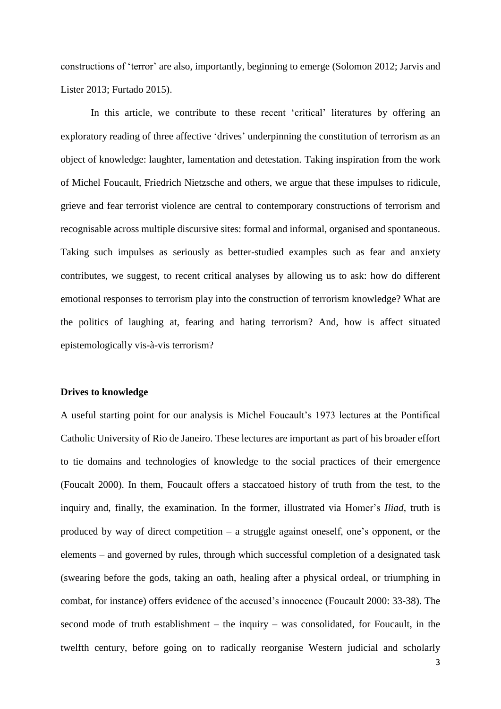constructions of 'terror' are also, importantly, beginning to emerge (Solomon 2012; Jarvis and Lister 2013; Furtado 2015).

In this article, we contribute to these recent 'critical' literatures by offering an exploratory reading of three affective 'drives' underpinning the constitution of terrorism as an object of knowledge: laughter, lamentation and detestation. Taking inspiration from the work of Michel Foucault, Friedrich Nietzsche and others, we argue that these impulses to ridicule, grieve and fear terrorist violence are central to contemporary constructions of terrorism and recognisable across multiple discursive sites: formal and informal, organised and spontaneous. Taking such impulses as seriously as better-studied examples such as fear and anxiety contributes, we suggest, to recent critical analyses by allowing us to ask: how do different emotional responses to terrorism play into the construction of terrorism knowledge? What are the politics of laughing at, fearing and hating terrorism? And, how is affect situated epistemologically vis-à-vis terrorism?

#### **Drives to knowledge**

A useful starting point for our analysis is Michel Foucault's 1973 lectures at the Pontifical Catholic University of Rio de Janeiro. These lectures are important as part of his broader effort to tie domains and technologies of knowledge to the social practices of their emergence (Foucalt 2000). In them, Foucault offers a staccatoed history of truth from the test, to the inquiry and, finally, the examination. In the former, illustrated via Homer's *Iliad*, truth is produced by way of direct competition – a struggle against oneself, one's opponent, or the elements – and governed by rules, through which successful completion of a designated task (swearing before the gods, taking an oath, healing after a physical ordeal, or triumphing in combat, for instance) offers evidence of the accused's innocence (Foucault 2000: 33-38). The second mode of truth establishment – the inquiry – was consolidated, for Foucault, in the twelfth century, before going on to radically reorganise Western judicial and scholarly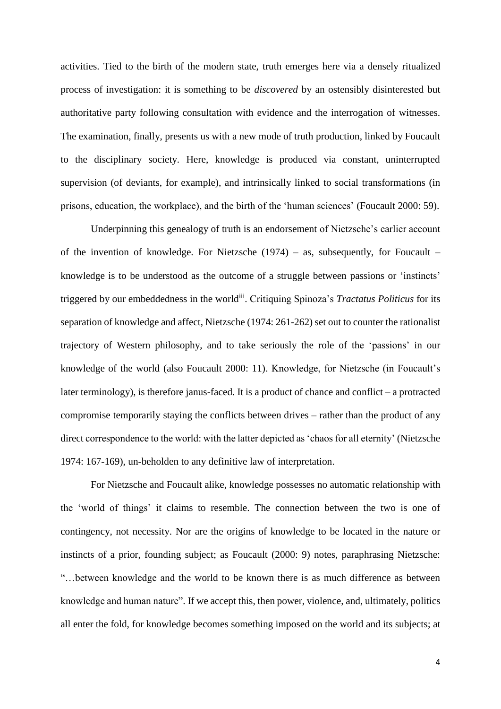activities. Tied to the birth of the modern state, truth emerges here via a densely ritualized process of investigation: it is something to be *discovered* by an ostensibly disinterested but authoritative party following consultation with evidence and the interrogation of witnesses. The examination, finally, presents us with a new mode of truth production, linked by Foucault to the disciplinary society. Here, knowledge is produced via constant, uninterrupted supervision (of deviants, for example), and intrinsically linked to social transformations (in prisons, education, the workplace), and the birth of the 'human sciences' (Foucault 2000: 59).

Underpinning this genealogy of truth is an endorsement of Nietzsche's earlier account of the invention of knowledge. For Nietzsche  $(1974)$  – as, subsequently, for Foucault – knowledge is to be understood as the outcome of a struggle between passions or 'instincts' triggered by our embeddedness in the worldi<sup>ii</sup>. Critiquing Spinoza's *Tractatus Politicus* for its separation of knowledge and affect, Nietzsche (1974: 261-262) set out to counter the rationalist trajectory of Western philosophy, and to take seriously the role of the 'passions' in our knowledge of the world (also Foucault 2000: 11). Knowledge, for Nietzsche (in Foucault's later terminology), is therefore janus-faced. It is a product of chance and conflict – a protracted compromise temporarily staying the conflicts between drives – rather than the product of any direct correspondence to the world: with the latter depicted as 'chaos for all eternity' (Nietzsche 1974: 167-169), un-beholden to any definitive law of interpretation.

For Nietzsche and Foucault alike, knowledge possesses no automatic relationship with the 'world of things' it claims to resemble. The connection between the two is one of contingency, not necessity. Nor are the origins of knowledge to be located in the nature or instincts of a prior, founding subject; as Foucault (2000: 9) notes, paraphrasing Nietzsche: "…between knowledge and the world to be known there is as much difference as between knowledge and human nature". If we accept this, then power, violence, and, ultimately, politics all enter the fold, for knowledge becomes something imposed on the world and its subjects; at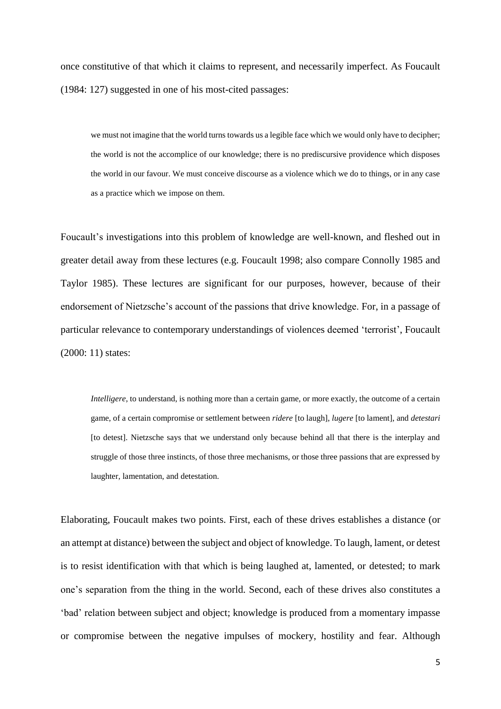once constitutive of that which it claims to represent, and necessarily imperfect. As Foucault (1984: 127) suggested in one of his most-cited passages:

we must not imagine that the world turns towards us a legible face which we would only have to decipher; the world is not the accomplice of our knowledge; there is no prediscursive providence which disposes the world in our favour. We must conceive discourse as a violence which we do to things, or in any case as a practice which we impose on them.

Foucault's investigations into this problem of knowledge are well-known, and fleshed out in greater detail away from these lectures (e.g. Foucault 1998; also compare Connolly 1985 and Taylor 1985). These lectures are significant for our purposes, however, because of their endorsement of Nietzsche's account of the passions that drive knowledge. For, in a passage of particular relevance to contemporary understandings of violences deemed 'terrorist', Foucault (2000: 11) states:

*Intelligere*, to understand, is nothing more than a certain game, or more exactly, the outcome of a certain game, of a certain compromise or settlement between *ridere* [to laugh], *lugere* [to lament], and *detestari* [to detest]. Nietzsche says that we understand only because behind all that there is the interplay and struggle of those three instincts, of those three mechanisms, or those three passions that are expressed by laughter, lamentation, and detestation.

Elaborating, Foucault makes two points. First, each of these drives establishes a distance (or an attempt at distance) between the subject and object of knowledge. To laugh, lament, or detest is to resist identification with that which is being laughed at, lamented, or detested; to mark one's separation from the thing in the world. Second, each of these drives also constitutes a 'bad' relation between subject and object; knowledge is produced from a momentary impasse or compromise between the negative impulses of mockery, hostility and fear. Although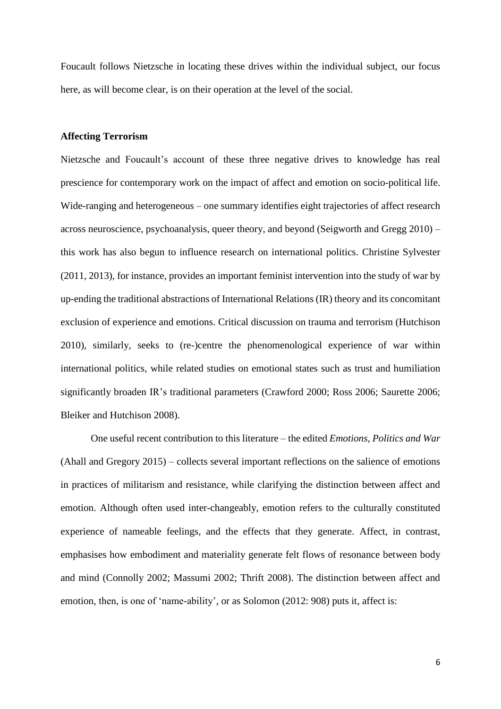Foucault follows Nietzsche in locating these drives within the individual subject, our focus here, as will become clear, is on their operation at the level of the social.

#### **Affecting Terrorism**

Nietzsche and Foucault's account of these three negative drives to knowledge has real prescience for contemporary work on the impact of affect and emotion on socio-political life. Wide-ranging and heterogeneous – one summary identifies eight trajectories of affect research across neuroscience, psychoanalysis, queer theory, and beyond (Seigworth and Gregg 2010) – this work has also begun to influence research on international politics. Christine Sylvester (2011, 2013), for instance, provides an important feminist intervention into the study of war by up-ending the traditional abstractions of International Relations (IR) theory and its concomitant exclusion of experience and emotions. Critical discussion on trauma and terrorism (Hutchison 2010), similarly, seeks to (re-)centre the phenomenological experience of war within international politics, while related studies on emotional states such as trust and humiliation significantly broaden IR's traditional parameters (Crawford 2000; Ross 2006; Saurette 2006; Bleiker and Hutchison 2008).

One useful recent contribution to this literature – the edited *Emotions, Politics and War*  (Ahall and Gregory 2015) – collects several important reflections on the salience of emotions in practices of militarism and resistance, while clarifying the distinction between affect and emotion. Although often used inter-changeably, emotion refers to the culturally constituted experience of nameable feelings, and the effects that they generate. Affect, in contrast, emphasises how embodiment and materiality generate felt flows of resonance between body and mind (Connolly 2002; Massumi 2002; Thrift 2008). The distinction between affect and emotion, then, is one of 'name-ability', or as Solomon (2012: 908) puts it, affect is: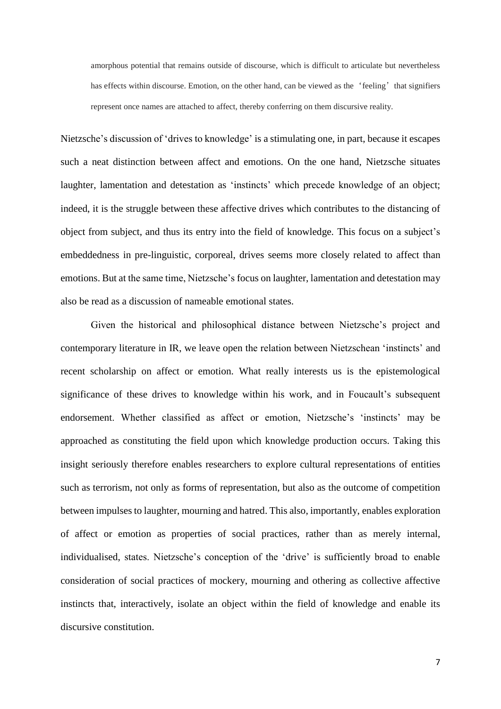amorphous potential that remains outside of discourse, which is difficult to articulate but nevertheless has effects within discourse. Emotion, on the other hand, can be viewed as the 'feeling' that signifiers represent once names are attached to affect, thereby conferring on them discursive reality.

Nietzsche's discussion of 'drives to knowledge' is a stimulating one, in part, because it escapes such a neat distinction between affect and emotions. On the one hand, Nietzsche situates laughter, lamentation and detestation as 'instincts' which precede knowledge of an object; indeed, it is the struggle between these affective drives which contributes to the distancing of object from subject, and thus its entry into the field of knowledge. This focus on a subject's embeddedness in pre-linguistic, corporeal, drives seems more closely related to affect than emotions. But at the same time, Nietzsche's focus on laughter, lamentation and detestation may also be read as a discussion of nameable emotional states.

Given the historical and philosophical distance between Nietzsche's project and contemporary literature in IR, we leave open the relation between Nietzschean 'instincts' and recent scholarship on affect or emotion. What really interests us is the epistemological significance of these drives to knowledge within his work, and in Foucault's subsequent endorsement. Whether classified as affect or emotion, Nietzsche's 'instincts' may be approached as constituting the field upon which knowledge production occurs. Taking this insight seriously therefore enables researchers to explore cultural representations of entities such as terrorism, not only as forms of representation, but also as the outcome of competition between impulses to laughter, mourning and hatred. This also, importantly, enables exploration of affect or emotion as properties of social practices, rather than as merely internal, individualised, states. Nietzsche's conception of the 'drive' is sufficiently broad to enable consideration of social practices of mockery, mourning and othering as collective affective instincts that, interactively, isolate an object within the field of knowledge and enable its discursive constitution.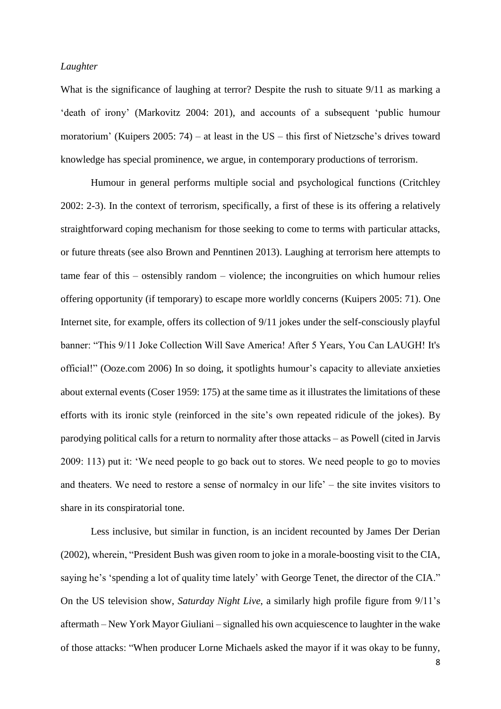#### *Laughter*

What is the significance of laughing at terror? Despite the rush to situate 9/11 as marking a 'death of irony' (Markovitz 2004: 201), and accounts of a subsequent 'public humour moratorium' (Kuipers 2005: 74) – at least in the US – this first of Nietzsche's drives toward knowledge has special prominence, we argue, in contemporary productions of terrorism.

Humour in general performs multiple social and psychological functions (Critchley 2002: 2-3). In the context of terrorism, specifically, a first of these is its offering a relatively straightforward coping mechanism for those seeking to come to terms with particular attacks, or future threats (see also Brown and Penntinen 2013). Laughing at terrorism here attempts to tame fear of this – ostensibly random – violence; the incongruities on which humour relies offering opportunity (if temporary) to escape more worldly concerns (Kuipers 2005: 71). One Internet site, for example, offers its collection of 9/11 jokes under the self-consciously playful banner: "This 9/11 Joke Collection Will Save America! After 5 Years, You Can LAUGH! It's official!" (Ooze.com 2006) In so doing, it spotlights humour's capacity to alleviate anxieties about external events (Coser 1959: 175) at the same time as it illustrates the limitations of these efforts with its ironic style (reinforced in the site's own repeated ridicule of the jokes). By parodying political calls for a return to normality after those attacks – as Powell (cited in Jarvis 2009: 113) put it: 'We need people to go back out to stores. We need people to go to movies and theaters. We need to restore a sense of normalcy in our life' – the site invites visitors to share in its conspiratorial tone.

Less inclusive, but similar in function, is an incident recounted by James Der Derian (2002), wherein, "President Bush was given room to joke in a morale-boosting visit to the CIA, saying he's 'spending a lot of quality time lately' with George Tenet, the director of the CIA." On the US television show, *Saturday Night Live*, a similarly high profile figure from 9/11's aftermath – New York Mayor Giuliani – signalled his own acquiescence to laughter in the wake of those attacks: "When producer Lorne Michaels asked the mayor if it was okay to be funny,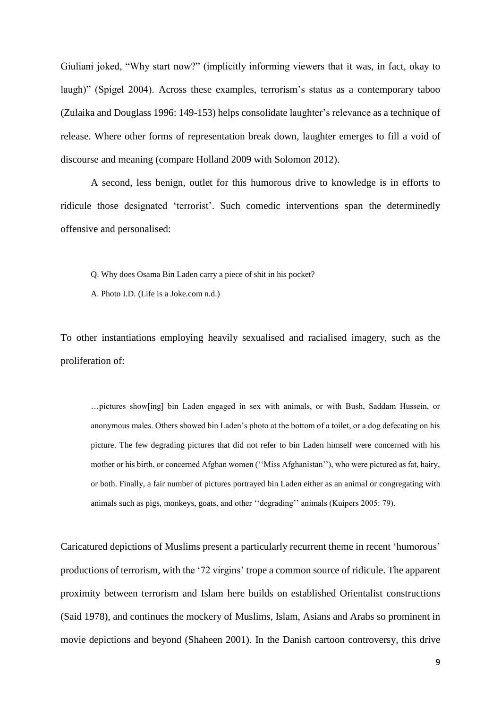Giuliani joked, "Why start now?" (implicitly informing viewers that it was, in fact, okay to laugh)" (Spigel 2004). Across these examples, terrorism's status as a contemporary taboo (Zulaika and Douglass 1996: 149-153) helps consolidate laughter's relevance as a technique of release. Where other forms of representation break down, laughter emerges to fill a void of discourse and meaning (compare Holland 2009 with Solomon 2012).

A second, less benign, outlet for this humorous drive to knowledge is in efforts to ridicule those designated 'terrorist'. Such comedic interventions span the determinedly offensive and personalised:

Q. Why does Osama Bin Laden carry a piece of shit in his pocket?

A. Photo I.D. (Life is a Joke.com n.d.)

To other instantiations employing heavily sexualised and racialised imagery, such as the proliferation of:

…pictures show[ing] bin Laden engaged in sex with animals, or with Bush, Saddam Hussein, or anonymous males. Others showed bin Laden's photo at the bottom of a toilet, or a dog defecating on his picture. The few degrading pictures that did not refer to bin Laden himself were concerned with his mother or his birth, or concerned Afghan women (''Miss Afghanistan''), who were pictured as fat, hairy, or both. Finally, a fair number of pictures portrayed bin Laden either as an animal or congregating with animals such as pigs, monkeys, goats, and other ''degrading'' animals (Kuipers 2005: 79).

Caricatured depictions of Muslims present a particularly recurrent theme in recent 'humorous' productions of terrorism, with the '72 virgins' trope a common source of ridicule. The apparent proximity between terrorism and Islam here builds on established Orientalist constructions (Said 1978), and continues the mockery of Muslims, Islam, Asians and Arabs so prominent in movie depictions and beyond (Shaheen 2001). In the Danish cartoon controversy, this drive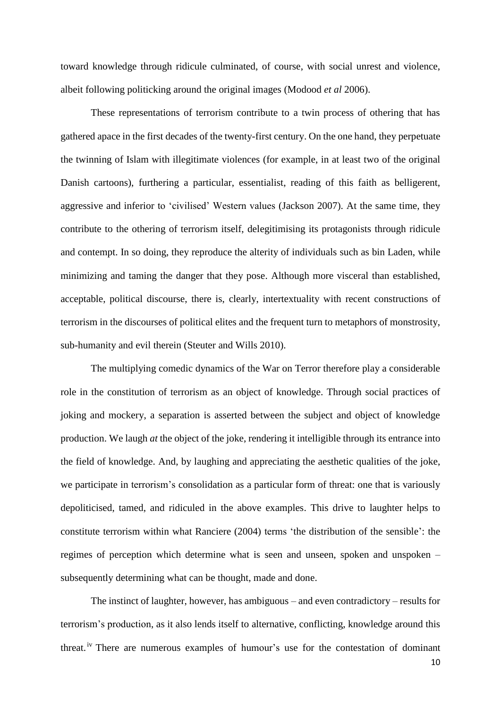toward knowledge through ridicule culminated, of course, with social unrest and violence, albeit following politicking around the original images (Modood *et al* 2006).

These representations of terrorism contribute to a twin process of othering that has gathered apace in the first decades of the twenty-first century. On the one hand, they perpetuate the twinning of Islam with illegitimate violences (for example, in at least two of the original Danish cartoons), furthering a particular, essentialist, reading of this faith as belligerent, aggressive and inferior to 'civilised' Western values (Jackson 2007). At the same time, they contribute to the othering of terrorism itself, delegitimising its protagonists through ridicule and contempt. In so doing, they reproduce the alterity of individuals such as bin Laden, while minimizing and taming the danger that they pose. Although more visceral than established, acceptable, political discourse, there is, clearly, intertextuality with recent constructions of terrorism in the discourses of political elites and the frequent turn to metaphors of monstrosity, sub-humanity and evil therein (Steuter and Wills 2010).

The multiplying comedic dynamics of the War on Terror therefore play a considerable role in the constitution of terrorism as an object of knowledge. Through social practices of joking and mockery, a separation is asserted between the subject and object of knowledge production. We laugh *at* the object of the joke, rendering it intelligible through its entrance into the field of knowledge. And, by laughing and appreciating the aesthetic qualities of the joke, we participate in terrorism's consolidation as a particular form of threat: one that is variously depoliticised, tamed, and ridiculed in the above examples. This drive to laughter helps to constitute terrorism within what Ranciere (2004) terms 'the distribution of the sensible': the regimes of perception which determine what is seen and unseen, spoken and unspoken – subsequently determining what can be thought, made and done.

The instinct of laughter, however, has ambiguous – and even contradictory – results for terrorism's production, as it also lends itself to alternative, conflicting, knowledge around this threat. iv There are numerous examples of humour's use for the contestation of dominant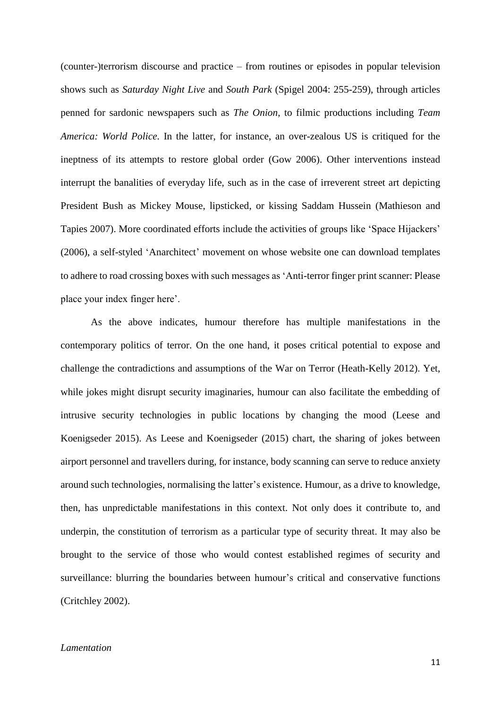(counter-)terrorism discourse and practice – from routines or episodes in popular television shows such as *Saturday Night Live* and *South Park* (Spigel 2004: 255-259), through articles penned for sardonic newspapers such as *The Onion*, to filmic productions including *Team America: World Police*. In the latter, for instance, an over-zealous US is critiqued for the ineptness of its attempts to restore global order (Gow 2006). Other interventions instead interrupt the banalities of everyday life, such as in the case of irreverent street art depicting President Bush as Mickey Mouse, lipsticked, or kissing Saddam Hussein (Mathieson and Tapies 2007). More coordinated efforts include the activities of groups like 'Space Hijackers' (2006), a self-styled 'Anarchitect' movement on whose website one can download templates to adhere to road crossing boxes with such messages as 'Anti-terror finger print scanner: Please place your index finger here'.

As the above indicates, humour therefore has multiple manifestations in the contemporary politics of terror. On the one hand, it poses critical potential to expose and challenge the contradictions and assumptions of the War on Terror (Heath-Kelly 2012). Yet, while jokes might disrupt security imaginaries, humour can also facilitate the embedding of intrusive security technologies in public locations by changing the mood (Leese and Koenigseder 2015). As Leese and Koenigseder (2015) chart, the sharing of jokes between airport personnel and travellers during, for instance, body scanning can serve to reduce anxiety around such technologies, normalising the latter's existence. Humour, as a drive to knowledge, then, has unpredictable manifestations in this context. Not only does it contribute to, and underpin, the constitution of terrorism as a particular type of security threat. It may also be brought to the service of those who would contest established regimes of security and surveillance: blurring the boundaries between humour's critical and conservative functions (Critchley 2002).

#### *Lamentation*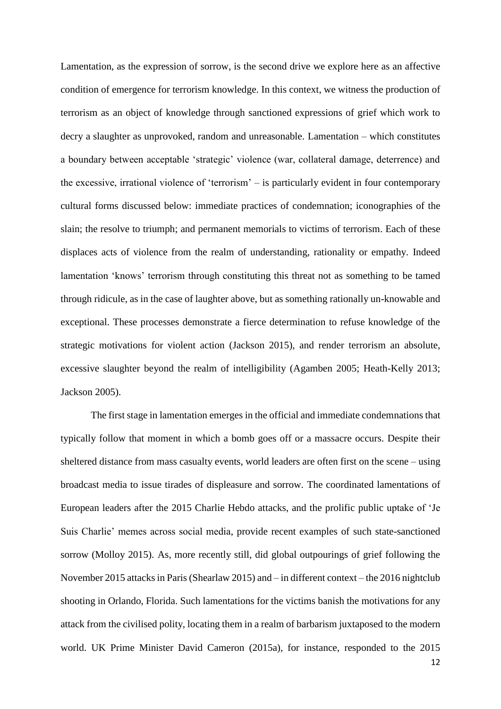Lamentation, as the expression of sorrow, is the second drive we explore here as an affective condition of emergence for terrorism knowledge. In this context, we witness the production of terrorism as an object of knowledge through sanctioned expressions of grief which work to decry a slaughter as unprovoked, random and unreasonable. Lamentation – which constitutes a boundary between acceptable 'strategic' violence (war, collateral damage, deterrence) and the excessive, irrational violence of 'terrorism' – is particularly evident in four contemporary cultural forms discussed below: immediate practices of condemnation; iconographies of the slain; the resolve to triumph; and permanent memorials to victims of terrorism. Each of these displaces acts of violence from the realm of understanding, rationality or empathy. Indeed lamentation 'knows' terrorism through constituting this threat not as something to be tamed through ridicule, as in the case of laughter above, but as something rationally un-knowable and exceptional. These processes demonstrate a fierce determination to refuse knowledge of the strategic motivations for violent action (Jackson 2015), and render terrorism an absolute, excessive slaughter beyond the realm of intelligibility (Agamben 2005; Heath-Kelly 2013; Jackson 2005).

The first stage in lamentation emerges in the official and immediate condemnations that typically follow that moment in which a bomb goes off or a massacre occurs. Despite their sheltered distance from mass casualty events, world leaders are often first on the scene – using broadcast media to issue tirades of displeasure and sorrow. The coordinated lamentations of European leaders after the 2015 Charlie Hebdo attacks, and the prolific public uptake of 'Je Suis Charlie' memes across social media, provide recent examples of such state-sanctioned sorrow (Molloy 2015). As, more recently still, did global outpourings of grief following the November 2015 attacks in Paris (Shearlaw 2015) and – in different context – the 2016 nightclub shooting in Orlando, Florida. Such lamentations for the victims banish the motivations for any attack from the civilised polity, locating them in a realm of barbarism juxtaposed to the modern world. UK Prime Minister David Cameron (2015a), for instance, responded to the 2015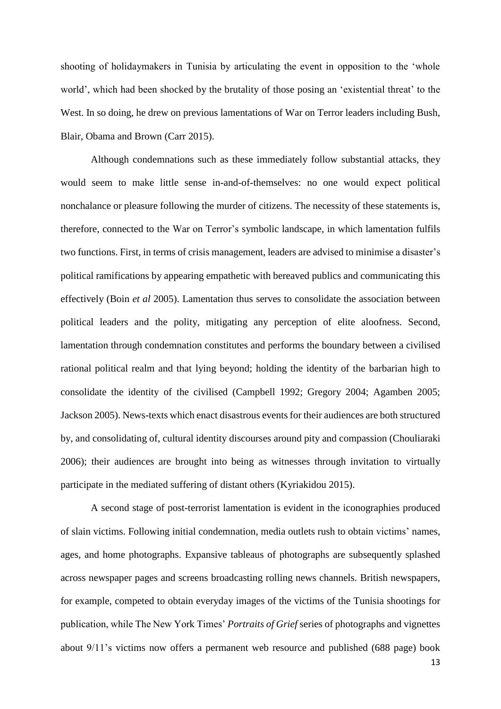shooting of holidaymakers in Tunisia by articulating the event in opposition to the 'whole world', which had been shocked by the brutality of those posing an 'existential threat' to the West. In so doing, he drew on previous lamentations of War on Terror leaders including Bush, Blair, Obama and Brown (Carr 2015).

Although condemnations such as these immediately follow substantial attacks, they would seem to make little sense in-and-of-themselves: no one would expect political nonchalance or pleasure following the murder of citizens. The necessity of these statements is, therefore, connected to the War on Terror's symbolic landscape, in which lamentation fulfils two functions. First, in terms of crisis management, leaders are advised to minimise a disaster's political ramifications by appearing empathetic with bereaved publics and communicating this effectively (Boin *et al* 2005). Lamentation thus serves to consolidate the association between political leaders and the polity, mitigating any perception of elite aloofness. Second, lamentation through condemnation constitutes and performs the boundary between a civilised rational political realm and that lying beyond; holding the identity of the barbarian high to consolidate the identity of the civilised (Campbell 1992; Gregory 2004; Agamben 2005; Jackson 2005). News-texts which enact disastrous eventsfor their audiences are both structured by, and consolidating of, cultural identity discourses around pity and compassion (Chouliaraki 2006); their audiences are brought into being as witnesses through invitation to virtually participate in the mediated suffering of distant others (Kyriakidou 2015).

A second stage of post-terrorist lamentation is evident in the iconographies produced of slain victims. Following initial condemnation, media outlets rush to obtain victims' names, ages, and home photographs. Expansive tableaus of photographs are subsequently splashed across newspaper pages and screens broadcasting rolling news channels. British newspapers, for example, competed to obtain everyday images of the victims of the Tunisia shootings for publication, while The New York Times' *Portraits of Grief* series of photographs and vignettes about 9/11's victims now offers a permanent web resource and published (688 page) book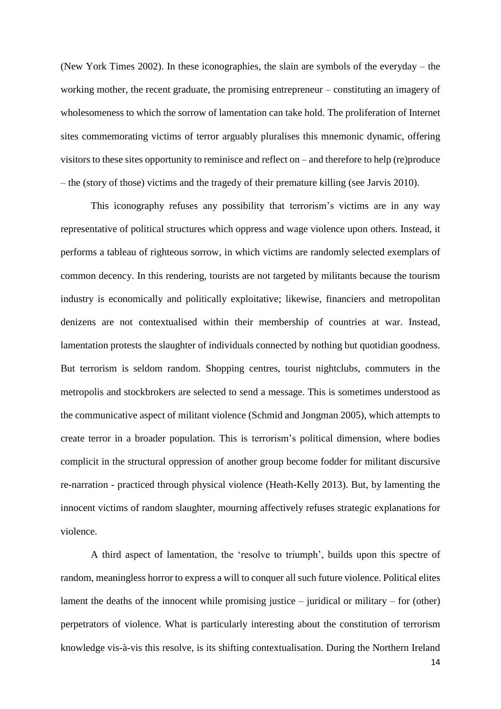(New York Times 2002). In these iconographies, the slain are symbols of the everyday – the working mother, the recent graduate, the promising entrepreneur – constituting an imagery of wholesomeness to which the sorrow of lamentation can take hold. The proliferation of Internet sites commemorating victims of terror arguably pluralises this mnemonic dynamic, offering visitors to these sites opportunity to reminisce and reflect on – and therefore to help (re)produce – the (story of those) victims and the tragedy of their premature killing (see Jarvis 2010).

This iconography refuses any possibility that terrorism's victims are in any way representative of political structures which oppress and wage violence upon others. Instead, it performs a tableau of righteous sorrow, in which victims are randomly selected exemplars of common decency. In this rendering, tourists are not targeted by militants because the tourism industry is economically and politically exploitative; likewise, financiers and metropolitan denizens are not contextualised within their membership of countries at war. Instead, lamentation protests the slaughter of individuals connected by nothing but quotidian goodness. But terrorism is seldom random. Shopping centres, tourist nightclubs, commuters in the metropolis and stockbrokers are selected to send a message. This is sometimes understood as the communicative aspect of militant violence (Schmid and Jongman 2005), which attempts to create terror in a broader population. This is terrorism's political dimension, where bodies complicit in the structural oppression of another group become fodder for militant discursive re-narration - practiced through physical violence (Heath-Kelly 2013). But, by lamenting the innocent victims of random slaughter, mourning affectively refuses strategic explanations for violence.

A third aspect of lamentation, the 'resolve to triumph', builds upon this spectre of random, meaningless horror to express a will to conquer all such future violence. Political elites lament the deaths of the innocent while promising justice – juridical or military – for (other) perpetrators of violence. What is particularly interesting about the constitution of terrorism knowledge vis-à-vis this resolve, is its shifting contextualisation. During the Northern Ireland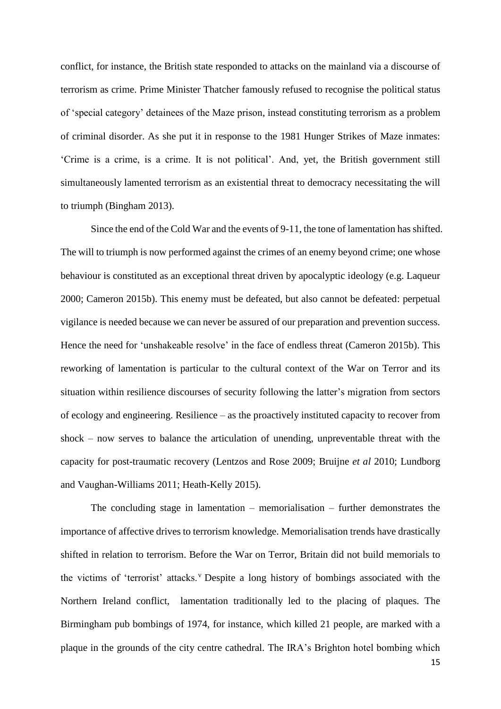conflict, for instance, the British state responded to attacks on the mainland via a discourse of terrorism as crime. Prime Minister Thatcher famously refused to recognise the political status of 'special category' detainees of the Maze prison, instead constituting terrorism as a problem of criminal disorder. As she put it in response to the 1981 Hunger Strikes of Maze inmates: 'Crime is a crime, is a crime. It is not political'. And, yet, the British government still simultaneously lamented terrorism as an existential threat to democracy necessitating the will to triumph (Bingham 2013).

Since the end of the Cold War and the events of 9-11, the tone of lamentation has shifted. The will to triumph is now performed against the crimes of an enemy beyond crime; one whose behaviour is constituted as an exceptional threat driven by apocalyptic ideology (e.g. Laqueur 2000; Cameron 2015b). This enemy must be defeated, but also cannot be defeated: perpetual vigilance is needed because we can never be assured of our preparation and prevention success. Hence the need for 'unshakeable resolve' in the face of endless threat (Cameron 2015b). This reworking of lamentation is particular to the cultural context of the War on Terror and its situation within resilience discourses of security following the latter's migration from sectors of ecology and engineering. Resilience – as the proactively instituted capacity to recover from shock – now serves to balance the articulation of unending, unpreventable threat with the capacity for post-traumatic recovery (Lentzos and Rose 2009; Bruijne *et al* 2010; Lundborg and Vaughan-Williams 2011; Heath-Kelly 2015).

The concluding stage in lamentation – memorialisation – further demonstrates the importance of affective drives to terrorism knowledge. Memorialisation trends have drastically shifted in relation to terrorism. Before the War on Terror, Britain did not build memorials to the victims of 'terrorist' attacks.<sup>v</sup> Despite a long history of bombings associated with the Northern Ireland conflict, lamentation traditionally led to the placing of plaques. The Birmingham pub bombings of 1974, for instance, which killed 21 people, are marked with a plaque in the grounds of the city centre cathedral. The IRA's Brighton hotel bombing which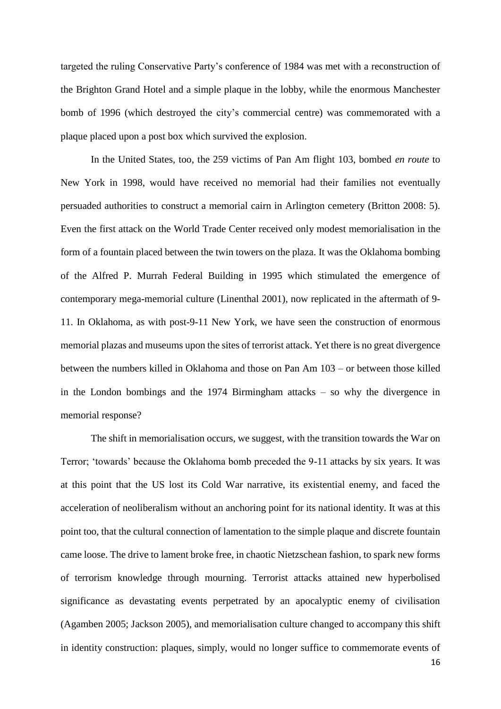targeted the ruling Conservative Party's conference of 1984 was met with a reconstruction of the Brighton Grand Hotel and a simple plaque in the lobby, while the enormous Manchester bomb of 1996 (which destroyed the city's commercial centre) was commemorated with a plaque placed upon a post box which survived the explosion.

In the United States, too, the 259 victims of Pan Am flight 103, bombed *en route* to New York in 1998, would have received no memorial had their families not eventually persuaded authorities to construct a memorial cairn in Arlington cemetery (Britton 2008: 5). Even the first attack on the World Trade Center received only modest memorialisation in the form of a fountain placed between the twin towers on the plaza. It was the Oklahoma bombing of the Alfred P. Murrah Federal Building in 1995 which stimulated the emergence of contemporary mega-memorial culture (Linenthal 2001), now replicated in the aftermath of 9- 11. In Oklahoma, as with post-9-11 New York, we have seen the construction of enormous memorial plazas and museums upon the sites of terrorist attack. Yet there is no great divergence between the numbers killed in Oklahoma and those on Pan Am 103 – or between those killed in the London bombings and the 1974 Birmingham attacks – so why the divergence in memorial response?

The shift in memorialisation occurs, we suggest, with the transition towards the War on Terror; 'towards' because the Oklahoma bomb preceded the 9-11 attacks by six years. It was at this point that the US lost its Cold War narrative, its existential enemy, and faced the acceleration of neoliberalism without an anchoring point for its national identity. It was at this point too, that the cultural connection of lamentation to the simple plaque and discrete fountain came loose. The drive to lament broke free, in chaotic Nietzschean fashion, to spark new forms of terrorism knowledge through mourning. Terrorist attacks attained new hyperbolised significance as devastating events perpetrated by an apocalyptic enemy of civilisation (Agamben 2005; Jackson 2005), and memorialisation culture changed to accompany this shift in identity construction: plaques, simply, would no longer suffice to commemorate events of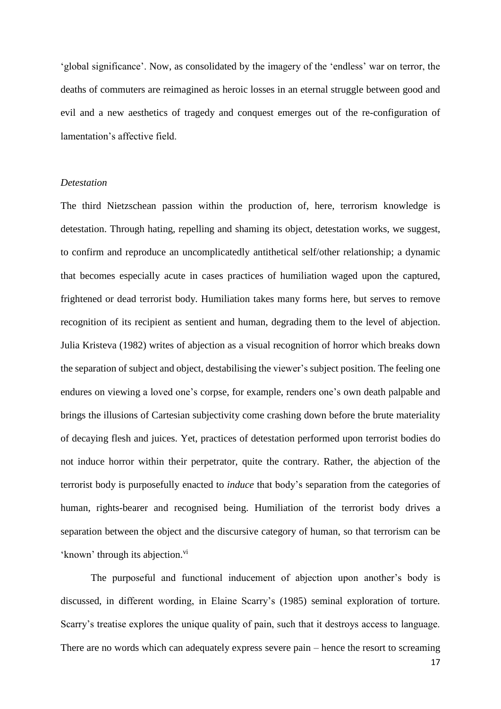'global significance'. Now, as consolidated by the imagery of the 'endless' war on terror, the deaths of commuters are reimagined as heroic losses in an eternal struggle between good and evil and a new aesthetics of tragedy and conquest emerges out of the re-configuration of lamentation's affective field.

### *Detestation*

The third Nietzschean passion within the production of, here, terrorism knowledge is detestation. Through hating, repelling and shaming its object, detestation works, we suggest, to confirm and reproduce an uncomplicatedly antithetical self/other relationship; a dynamic that becomes especially acute in cases practices of humiliation waged upon the captured, frightened or dead terrorist body. Humiliation takes many forms here, but serves to remove recognition of its recipient as sentient and human, degrading them to the level of abjection. Julia Kristeva (1982) writes of abjection as a visual recognition of horror which breaks down the separation of subject and object, destabilising the viewer's subject position. The feeling one endures on viewing a loved one's corpse, for example, renders one's own death palpable and brings the illusions of Cartesian subjectivity come crashing down before the brute materiality of decaying flesh and juices. Yet, practices of detestation performed upon terrorist bodies do not induce horror within their perpetrator, quite the contrary. Rather, the abjection of the terrorist body is purposefully enacted to *induce* that body's separation from the categories of human, rights-bearer and recognised being. Humiliation of the terrorist body drives a separation between the object and the discursive category of human, so that terrorism can be 'known' through its abjection.<sup>vi</sup>

The purposeful and functional inducement of abjection upon another's body is discussed, in different wording, in Elaine Scarry's (1985) seminal exploration of torture*.* Scarry's treatise explores the unique quality of pain, such that it destroys access to language. There are no words which can adequately express severe pain – hence the resort to screaming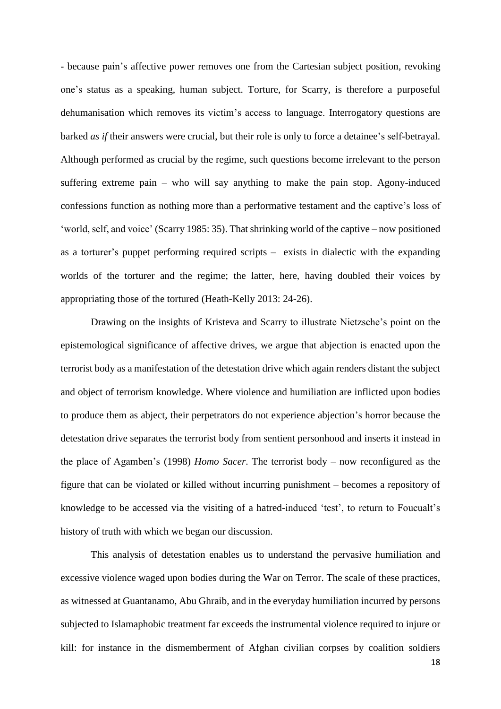- because pain's affective power removes one from the Cartesian subject position, revoking one's status as a speaking, human subject. Torture, for Scarry, is therefore a purposeful dehumanisation which removes its victim's access to language. Interrogatory questions are barked *as if* their answers were crucial, but their role is only to force a detainee's self-betrayal. Although performed as crucial by the regime, such questions become irrelevant to the person suffering extreme pain – who will say anything to make the pain stop. Agony-induced confessions function as nothing more than a performative testament and the captive's loss of 'world, self, and voice' (Scarry 1985: 35). That shrinking world of the captive – now positioned as a torturer's puppet performing required scripts – exists in dialectic with the expanding worlds of the torturer and the regime; the latter, here, having doubled their voices by appropriating those of the tortured (Heath-Kelly 2013: 24-26).

Drawing on the insights of Kristeva and Scarry to illustrate Nietzsche's point on the epistemological significance of affective drives, we argue that abjection is enacted upon the terrorist body as a manifestation of the detestation drive which again renders distant the subject and object of terrorism knowledge. Where violence and humiliation are inflicted upon bodies to produce them as abject, their perpetrators do not experience abjection's horror because the detestation drive separates the terrorist body from sentient personhood and inserts it instead in the place of Agamben's (1998) *Homo Sacer*. The terrorist body – now reconfigured as the figure that can be violated or killed without incurring punishment – becomes a repository of knowledge to be accessed via the visiting of a hatred-induced 'test', to return to Foucualt's history of truth with which we began our discussion.

This analysis of detestation enables us to understand the pervasive humiliation and excessive violence waged upon bodies during the War on Terror. The scale of these practices, as witnessed at Guantanamo, Abu Ghraib, and in the everyday humiliation incurred by persons subjected to Islamaphobic treatment far exceeds the instrumental violence required to injure or kill: for instance in the dismemberment of Afghan civilian corpses by coalition soldiers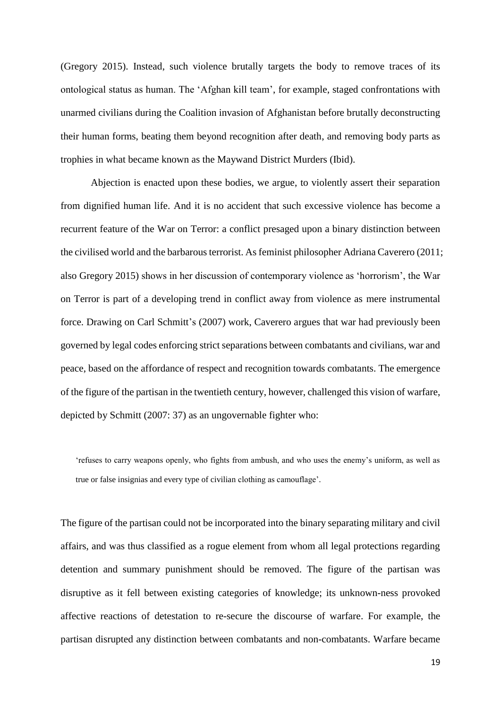(Gregory 2015). Instead, such violence brutally targets the body to remove traces of its ontological status as human. The 'Afghan kill team', for example, staged confrontations with unarmed civilians during the Coalition invasion of Afghanistan before brutally deconstructing their human forms, beating them beyond recognition after death, and removing body parts as trophies in what became known as the Maywand District Murders (Ibid).

Abjection is enacted upon these bodies, we argue, to violently assert their separation from dignified human life. And it is no accident that such excessive violence has become a recurrent feature of the War on Terror: a conflict presaged upon a binary distinction between the civilised world and the barbarous terrorist. As feminist philosopher Adriana Caverero (2011; also Gregory 2015) shows in her discussion of contemporary violence as 'horrorism', the War on Terror is part of a developing trend in conflict away from violence as mere instrumental force. Drawing on Carl Schmitt's (2007) work, Caverero argues that war had previously been governed by legal codes enforcing strict separations between combatants and civilians, war and peace, based on the affordance of respect and recognition towards combatants. The emergence of the figure of the partisan in the twentieth century, however, challenged this vision of warfare, depicted by Schmitt (2007: 37) as an ungovernable fighter who:

'refuses to carry weapons openly, who fights from ambush, and who uses the enemy's uniform, as well as true or false insignias and every type of civilian clothing as camouflage'.

The figure of the partisan could not be incorporated into the binary separating military and civil affairs, and was thus classified as a rogue element from whom all legal protections regarding detention and summary punishment should be removed. The figure of the partisan was disruptive as it fell between existing categories of knowledge; its unknown-ness provoked affective reactions of detestation to re-secure the discourse of warfare. For example, the partisan disrupted any distinction between combatants and non-combatants. Warfare became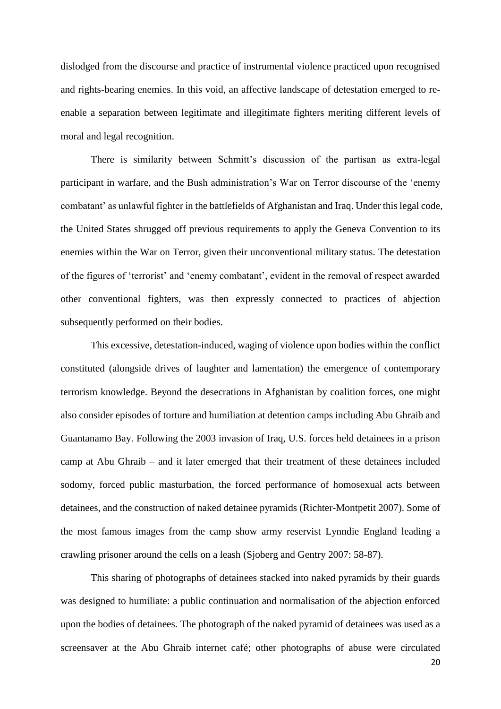dislodged from the discourse and practice of instrumental violence practiced upon recognised and rights-bearing enemies. In this void, an affective landscape of detestation emerged to reenable a separation between legitimate and illegitimate fighters meriting different levels of moral and legal recognition.

There is similarity between Schmitt's discussion of the partisan as extra-legal participant in warfare, and the Bush administration's War on Terror discourse of the 'enemy combatant' as unlawful fighter in the battlefields of Afghanistan and Iraq. Under this legal code, the United States shrugged off previous requirements to apply the Geneva Convention to its enemies within the War on Terror, given their unconventional military status. The detestation of the figures of 'terrorist' and 'enemy combatant', evident in the removal of respect awarded other conventional fighters, was then expressly connected to practices of abjection subsequently performed on their bodies.

This excessive, detestation-induced, waging of violence upon bodies within the conflict constituted (alongside drives of laughter and lamentation) the emergence of contemporary terrorism knowledge. Beyond the desecrations in Afghanistan by coalition forces, one might also consider episodes of torture and humiliation at detention camps including Abu Ghraib and Guantanamo Bay. Following the 2003 invasion of Iraq, U.S. forces held detainees in a prison camp at Abu Ghraib – and it later emerged that their treatment of these detainees included sodomy, forced public masturbation, the forced performance of homosexual acts between detainees, and the construction of naked detainee pyramids (Richter-Montpetit 2007). Some of the most famous images from the camp show army reservist Lynndie England leading a crawling prisoner around the cells on a leash (Sjoberg and Gentry 2007: 58-87).

This sharing of photographs of detainees stacked into naked pyramids by their guards was designed to humiliate: a public continuation and normalisation of the abjection enforced upon the bodies of detainees. The photograph of the naked pyramid of detainees was used as a screensaver at the Abu Ghraib internet café; other photographs of abuse were circulated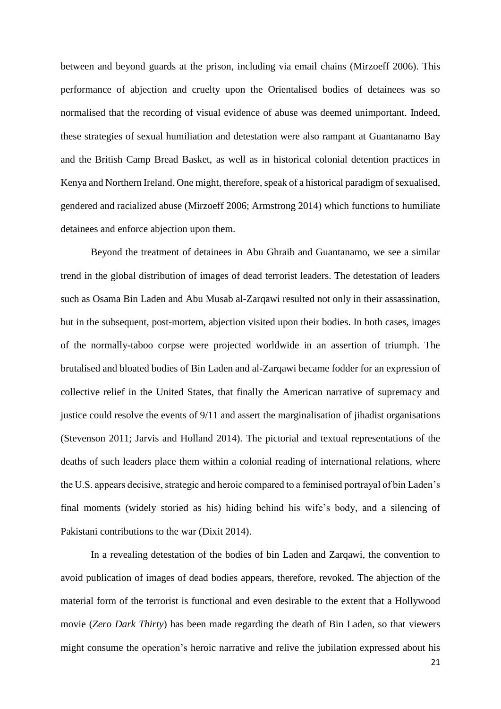between and beyond guards at the prison, including via email chains (Mirzoeff 2006). This performance of abjection and cruelty upon the Orientalised bodies of detainees was so normalised that the recording of visual evidence of abuse was deemed unimportant. Indeed, these strategies of sexual humiliation and detestation were also rampant at Guantanamo Bay and the British Camp Bread Basket, as well as in historical colonial detention practices in Kenya and Northern Ireland. One might, therefore, speak of a historical paradigm of sexualised, gendered and racialized abuse (Mirzoeff 2006; Armstrong 2014) which functions to humiliate detainees and enforce abjection upon them.

Beyond the treatment of detainees in Abu Ghraib and Guantanamo, we see a similar trend in the global distribution of images of dead terrorist leaders. The detestation of leaders such as Osama Bin Laden and Abu Musab al-Zarqawi resulted not only in their assassination, but in the subsequent, post-mortem, abjection visited upon their bodies. In both cases, images of the normally-taboo corpse were projected worldwide in an assertion of triumph. The brutalised and bloated bodies of Bin Laden and al-Zarqawi became fodder for an expression of collective relief in the United States, that finally the American narrative of supremacy and justice could resolve the events of 9/11 and assert the marginalisation of jihadist organisations (Stevenson 2011; Jarvis and Holland 2014). The pictorial and textual representations of the deaths of such leaders place them within a colonial reading of international relations, where the U.S. appears decisive, strategic and heroic compared to a feminised portrayal of bin Laden's final moments (widely storied as his) hiding behind his wife's body, and a silencing of Pakistani contributions to the war (Dixit 2014).

In a revealing detestation of the bodies of bin Laden and Zarqawi, the convention to avoid publication of images of dead bodies appears, therefore, revoked. The abjection of the material form of the terrorist is functional and even desirable to the extent that a Hollywood movie (*Zero Dark Thirty*) has been made regarding the death of Bin Laden, so that viewers might consume the operation's heroic narrative and relive the jubilation expressed about his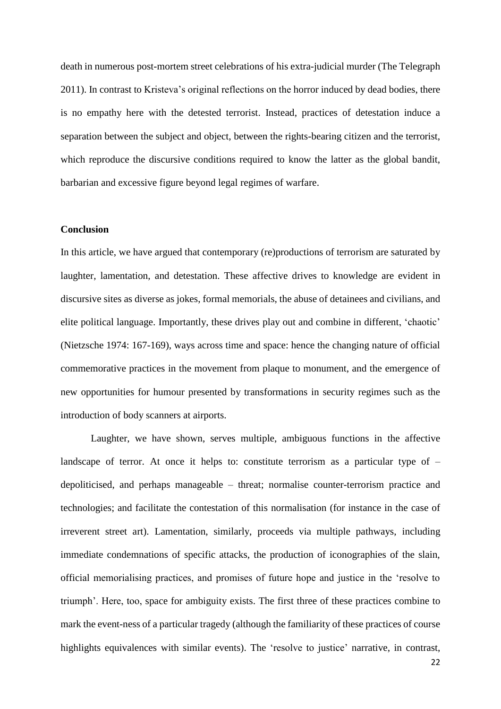death in numerous post-mortem street celebrations of his extra-judicial murder (The Telegraph 2011). In contrast to Kristeva's original reflections on the horror induced by dead bodies, there is no empathy here with the detested terrorist. Instead, practices of detestation induce a separation between the subject and object, between the rights-bearing citizen and the terrorist, which reproduce the discursive conditions required to know the latter as the global bandit, barbarian and excessive figure beyond legal regimes of warfare.

#### **Conclusion**

In this article, we have argued that contemporary (re)productions of terrorism are saturated by laughter, lamentation, and detestation. These affective drives to knowledge are evident in discursive sites as diverse as jokes, formal memorials, the abuse of detainees and civilians, and elite political language. Importantly, these drives play out and combine in different, 'chaotic' (Nietzsche 1974: 167-169), ways across time and space: hence the changing nature of official commemorative practices in the movement from plaque to monument, and the emergence of new opportunities for humour presented by transformations in security regimes such as the introduction of body scanners at airports.

Laughter, we have shown, serves multiple, ambiguous functions in the affective landscape of terror. At once it helps to: constitute terrorism as a particular type of  $$ depoliticised, and perhaps manageable – threat; normalise counter-terrorism practice and technologies; and facilitate the contestation of this normalisation (for instance in the case of irreverent street art). Lamentation, similarly, proceeds via multiple pathways, including immediate condemnations of specific attacks, the production of iconographies of the slain, official memorialising practices, and promises of future hope and justice in the 'resolve to triumph'. Here, too, space for ambiguity exists. The first three of these practices combine to mark the event-ness of a particular tragedy (although the familiarity of these practices of course highlights equivalences with similar events). The 'resolve to justice' narrative, in contrast,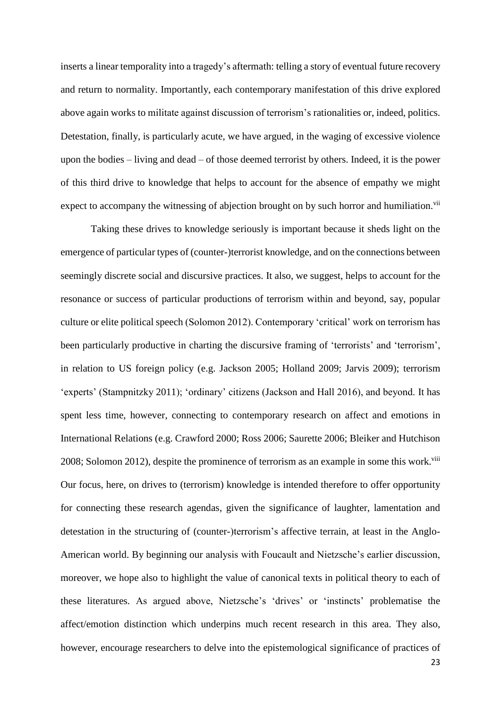inserts a linear temporality into a tragedy's aftermath: telling a story of eventual future recovery and return to normality. Importantly, each contemporary manifestation of this drive explored above again works to militate against discussion of terrorism's rationalities or, indeed, politics. Detestation, finally, is particularly acute, we have argued, in the waging of excessive violence upon the bodies – living and dead – of those deemed terrorist by others. Indeed, it is the power of this third drive to knowledge that helps to account for the absence of empathy we might expect to accompany the witnessing of abjection brought on by such horror and humiliation.<sup>vii</sup>

Taking these drives to knowledge seriously is important because it sheds light on the emergence of particular types of (counter-)terrorist knowledge, and on the connections between seemingly discrete social and discursive practices. It also, we suggest, helps to account for the resonance or success of particular productions of terrorism within and beyond, say, popular culture or elite political speech (Solomon 2012). Contemporary 'critical' work on terrorism has been particularly productive in charting the discursive framing of 'terrorists' and 'terrorism', in relation to US foreign policy (e.g. Jackson 2005; Holland 2009; Jarvis 2009); terrorism 'experts' (Stampnitzky 2011); 'ordinary' citizens (Jackson and Hall 2016), and beyond. It has spent less time, however, connecting to contemporary research on affect and emotions in International Relations (e.g. Crawford 2000; Ross 2006; Saurette 2006; Bleiker and Hutchison 2008; Solomon 2012), despite the prominence of terrorism as an example in some this work.<sup>viii</sup> Our focus, here, on drives to (terrorism) knowledge is intended therefore to offer opportunity for connecting these research agendas, given the significance of laughter, lamentation and detestation in the structuring of (counter-)terrorism's affective terrain, at least in the Anglo-American world. By beginning our analysis with Foucault and Nietzsche's earlier discussion, moreover, we hope also to highlight the value of canonical texts in political theory to each of these literatures. As argued above, Nietzsche's 'drives' or 'instincts' problematise the affect/emotion distinction which underpins much recent research in this area. They also, however, encourage researchers to delve into the epistemological significance of practices of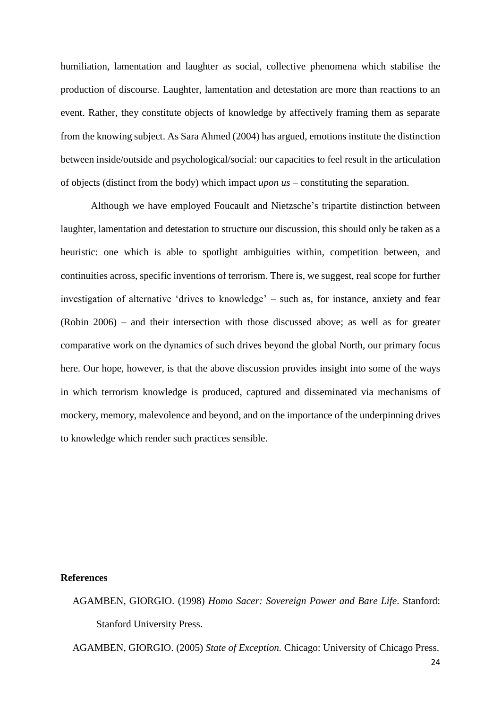humiliation, lamentation and laughter as social, collective phenomena which stabilise the production of discourse. Laughter, lamentation and detestation are more than reactions to an event. Rather, they constitute objects of knowledge by affectively framing them as separate from the knowing subject. As Sara Ahmed (2004) has argued, emotions institute the distinction between inside/outside and psychological/social: our capacities to feel result in the articulation of objects (distinct from the body) which impact *upon us* – constituting the separation.

Although we have employed Foucault and Nietzsche's tripartite distinction between laughter, lamentation and detestation to structure our discussion, this should only be taken as a heuristic: one which is able to spotlight ambiguities within, competition between, and continuities across, specific inventions of terrorism. There is, we suggest, real scope for further investigation of alternative 'drives to knowledge' – such as, for instance, anxiety and fear (Robin 2006) – and their intersection with those discussed above; as well as for greater comparative work on the dynamics of such drives beyond the global North, our primary focus here. Our hope, however, is that the above discussion provides insight into some of the ways in which terrorism knowledge is produced, captured and disseminated via mechanisms of mockery, memory, malevolence and beyond, and on the importance of the underpinning drives to knowledge which render such practices sensible.

## **References**

AGAMBEN, GIORGIO. (1998) *Homo Sacer: Sovereign Power and Bare Life*. Stanford: Stanford University Press.

AGAMBEN, GIORGIO. (2005) *State of Exception.* Chicago: University of Chicago Press.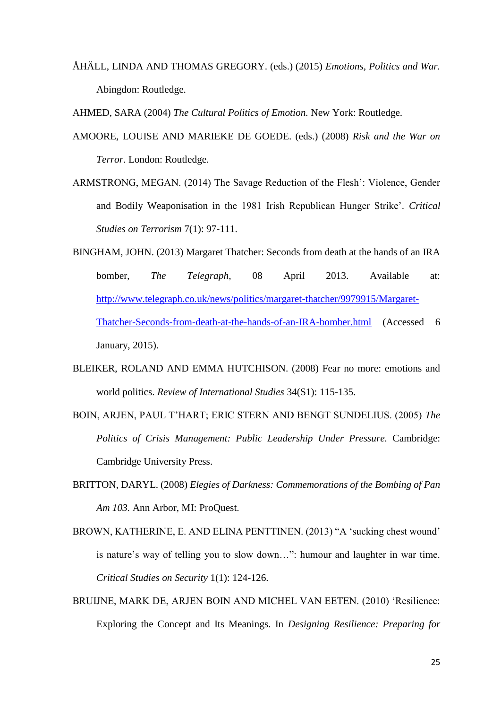ÅHÄLL, LINDA AND THOMAS GREGORY. (eds.) (2015) *Emotions, Politics and War.*  Abingdon: Routledge.

AHMED, SARA (2004) *The Cultural Politics of Emotion.* New York: Routledge.

- AMOORE, LOUISE AND MARIEKE DE GOEDE. (eds.) (2008) *Risk and the War on Terror*. London: Routledge.
- ARMSTRONG, MEGAN. (2014) The Savage Reduction of the Flesh': Violence, Gender and Bodily Weaponisation in the 1981 Irish Republican Hunger Strike'. *Critical Studies on Terrorism* 7(1): 97-111.
- BINGHAM, JOHN. (2013) Margaret Thatcher: Seconds from death at the hands of an IRA bomber, *The Telegraph*, 08 April 2013. Available at: [http://www.telegraph.co.uk/news/politics/margaret-thatcher/9979915/Margaret-](http://www.telegraph.co.uk/news/politics/margaret-thatcher/9979915/Margaret-Thatcher-Seconds-from-death-at-the-hands-of-an-IRA-bomber.html)[Thatcher-Seconds-from-death-at-the-hands-of-an-IRA-bomber.html](http://www.telegraph.co.uk/news/politics/margaret-thatcher/9979915/Margaret-Thatcher-Seconds-from-death-at-the-hands-of-an-IRA-bomber.html) (Accessed 6 January, 2015).
- BLEIKER, ROLAND AND EMMA HUTCHISON. (2008) Fear no more: emotions and world politics. *Review of International Studies* 34(S1): 115-135.
- BOIN, ARJEN, PAUL T'HART; ERIC STERN AND BENGT SUNDELIUS. (2005) *The Politics of Crisis Management: Public Leadership Under Pressure.* Cambridge: Cambridge University Press.
- BRITTON, DARYL. (2008) *Elegies of Darkness: Commemorations of the Bombing of Pan Am 103.* Ann Arbor, MI: ProQuest.
- BROWN, KATHERINE, E. AND ELINA PENTTINEN. (2013) "A 'sucking chest wound' is nature's way of telling you to slow down…": humour and laughter in war time. *Critical Studies on Security* 1(1): 124-126.
- BRUIJNE, MARK DE, ARJEN BOIN AND MICHEL VAN EETEN. (2010) 'Resilience: Exploring the Concept and Its Meanings. In *Designing Resilience: Preparing for*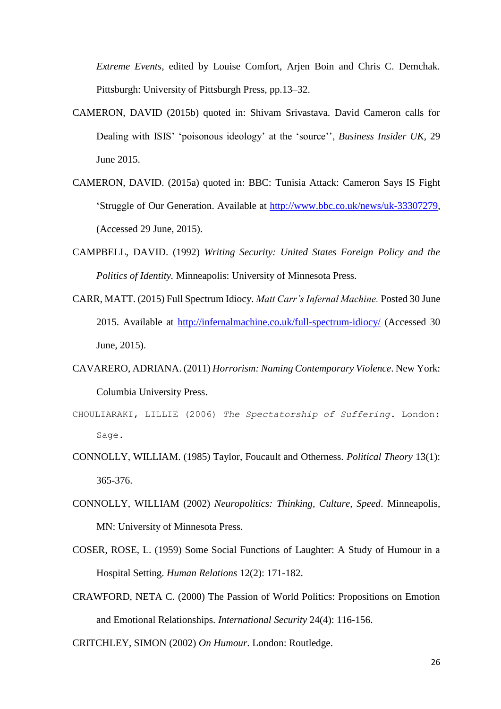*Extreme Events*, edited by Louise Comfort, Arjen Boin and Chris C. Demchak. Pittsburgh: University of Pittsburgh Press, pp.13–32.

- CAMERON, DAVID (2015b) quoted in: Shivam Srivastava. David Cameron calls for Dealing with ISIS' 'poisonous ideology' at the 'source'', *Business Insider UK,* 29 June 2015.
- CAMERON, DAVID. (2015a) quoted in: BBC: Tunisia Attack: Cameron Says IS Fight 'Struggle of Our Generation. Available at [http://www.bbc.co.uk/news/uk-33307279,](http://www.bbc.co.uk/news/uk-33307279) (Accessed 29 June, 2015).
- CAMPBELL, DAVID. (1992) *Writing Security: United States Foreign Policy and the Politics of Identity.* Minneapolis: University of Minnesota Press.
- CARR, MATT. (2015) Full Spectrum Idiocy. *Matt Carr's Infernal Machine.* Posted 30 June 2015. Available at<http://infernalmachine.co.uk/full-spectrum-idiocy/> (Accessed 30 June, 2015).
- CAVARERO, ADRIANA. (2011) *Horrorism: Naming Contemporary Violence*. New York: Columbia University Press.
- CHOULIARAKI, LILLIE (2006) *The Spectatorship of Suffering.* London: Sage.
- CONNOLLY, WILLIAM. (1985) Taylor, Foucault and Otherness. *Political Theory* 13(1): 365-376.
- CONNOLLY, WILLIAM (2002) *Neuropolitics: Thinking, Culture, Speed*. Minneapolis, MN: University of Minnesota Press.
- COSER, ROSE, L. (1959) Some Social Functions of Laughter: A Study of Humour in a Hospital Setting. *Human Relations* 12(2): 171-182.
- CRAWFORD, NETA C. (2000) The Passion of World Politics: Propositions on Emotion and Emotional Relationships. *International Security* 24(4): 116-156.

CRITCHLEY, SIMON (2002) *On Humour*. London: Routledge.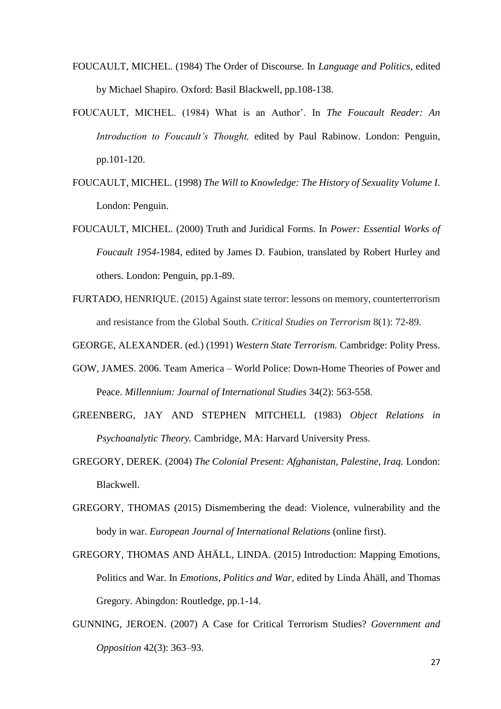- FOUCAULT, MICHEL. (1984) The Order of Discourse. In *Language and Politics*, edited by Michael Shapiro. Oxford: Basil Blackwell, pp.108-138.
- FOUCAULT, MICHEL. (1984) What is an Author'. In *The Foucault Reader: An Introduction to Foucault's Thought,* edited by Paul Rabinow. London: Penguin, pp.101-120.
- FOUCAULT, MICHEL. (1998) *The Will to Knowledge: The History of Sexuality Volume I*. London: Penguin.
- FOUCAULT, MICHEL. (2000) Truth and Juridical Forms. In *Power: Essential Works of Foucault 1954-*1984, edited by James D. Faubion, translated by Robert Hurley and others. London: Penguin, pp.1-89.
- FURTADO, HENRIQUE. (2015) Against state terror: lessons on memory, counterterrorism and resistance from the Global South. *Critical Studies on Terrorism* 8(1): 72-89.

GEORGE, ALEXANDER. (ed.) (1991) *Western State Terrorism.* Cambridge: Polity Press.

- GOW, JAMES. 2006. Team America World Police: Down-Home Theories of Power and Peace. *Millennium: Journal of International Studies* 34(2): 563-558.
- GREENBERG, JAY AND STEPHEN MITCHELL (1983) *Object Relations in Psychoanalytic Theory.* Cambridge, MA: Harvard University Press.
- GREGORY, DEREK. (2004) *The Colonial Present: Afghanistan, Palestine, Iraq.* London: Blackwell.
- GREGORY, THOMAS (2015) Dismembering the dead: Violence, vulnerability and the body in war. *European Journal of International Relations* (online first).
- GREGORY, THOMAS AND ÅHÄLL, LINDA. (2015) Introduction: Mapping Emotions, Politics and War. In *Emotions, Politics and War,* edited by Linda Åhäll, and Thomas Gregory. Abingdon: Routledge, pp.1-14.
- GUNNING, JEROEN. (2007) A Case for Critical Terrorism Studies? *Government and Opposition* 42(3): 363–93.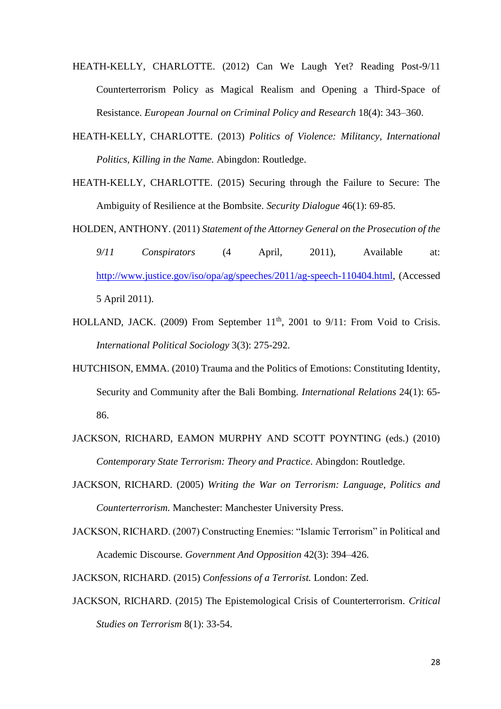- HEATH-KELLY, CHARLOTTE. (2012) Can We Laugh Yet? Reading Post-9/11 Counterterrorism Policy as Magical Realism and Opening a Third-Space of Resistance. *European Journal on Criminal Policy and Research* 18(4): 343–360.
- HEATH-KELLY, CHARLOTTE. (2013) *Politics of Violence: Militancy, International Politics, Killing in the Name.* Abingdon: Routledge.
- HEATH-KELLY, CHARLOTTE. (2015) Securing through the Failure to Secure: The Ambiguity of Resilience at the Bombsite. *Security Dialogue* 46(1): 69-85.
- HOLDEN, ANTHONY. (2011) *Statement of the Attorney General on the Prosecution of the 9/11 Conspirators* (4 April, 2011), Available at: [http://www.justice.gov/iso/opa/ag/speeches/2011/ag-speech-110404.html,](http://www.justice.gov/iso/opa/ag/speeches/2011/ag-speech-110404.html) (Accessed

5 April 2011).

- HOLLAND, JACK. (2009) From September  $11<sup>th</sup>$ , 2001 to 9/11: From Void to Crisis. *International Political Sociology* 3(3): 275-292.
- HUTCHISON, EMMA. (2010) Trauma and the Politics of Emotions: Constituting Identity, Security and Community after the Bali Bombing. *International Relations* 24(1): 65- 86.
- JACKSON, RICHARD, EAMON MURPHY AND SCOTT POYNTING (eds.) (2010) *Contemporary State Terrorism: Theory and Practice*. Abingdon: Routledge.
- JACKSON, RICHARD. (2005) *Writing the War on Terrorism: Language, Politics and Counterterrorism.* Manchester: Manchester University Press.
- JACKSON, RICHARD. (2007) Constructing Enemies: "Islamic Terrorism" in Political and Academic Discourse. *Government And Opposition* 42(3): 394–426.

JACKSON, RICHARD. (2015) *Confessions of a Terrorist.* London: Zed.

JACKSON, RICHARD. (2015) The Epistemological Crisis of Counterterrorism. *Critical Studies on Terrorism* 8(1): 33-54.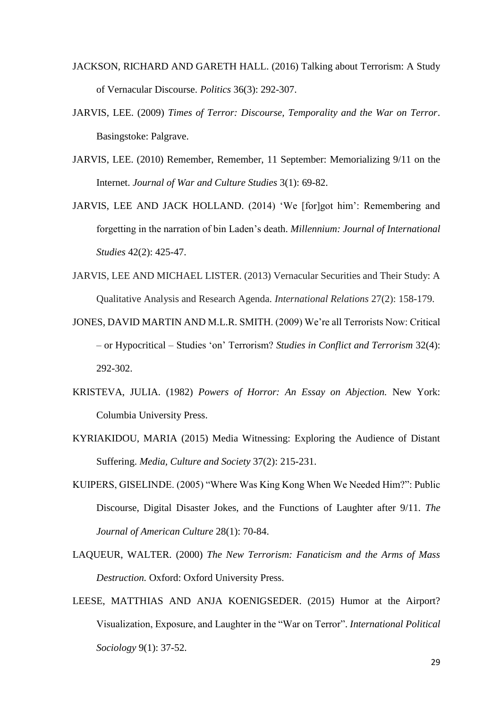- JACKSON, RICHARD AND GARETH HALL. (2016) Talking about Terrorism: A Study of Vernacular Discourse. *Politics* 36(3): 292-307.
- JARVIS, LEE. (2009) *Times of Terror: Discourse, Temporality and the War on Terror*. Basingstoke: Palgrave.
- JARVIS, LEE. (2010) Remember, Remember, 11 September: Memorializing 9/11 on the Internet. *Journal of War and Culture Studies* 3(1): 69-82.
- JARVIS, LEE AND JACK HOLLAND. (2014) 'We [for]got him': Remembering and forgetting in the narration of bin Laden's death. *Millennium: Journal of International Studies* 42(2): 425-47.
- JARVIS, LEE AND MICHAEL LISTER. (2013) Vernacular Securities and Their Study: A Qualitative Analysis and Research Agenda. *International Relations* 27(2): 158-179.
- JONES, DAVID MARTIN AND M.L.R. SMITH. (2009) We're all Terrorists Now: Critical – or Hypocritical – Studies 'on' Terrorism? *Studies in Conflict and Terrorism* 32(4): 292-302.
- KRISTEVA, JULIA. (1982) *Powers of Horror: An Essay on Abjection.* New York: Columbia University Press.
- KYRIAKIDOU, MARIA (2015) Media Witnessing: Exploring the Audience of Distant Suffering. *Media, Culture and Society* 37(2): 215-231.
- KUIPERS, GISELINDE. (2005) "Where Was King Kong When We Needed Him?": Public Discourse, Digital Disaster Jokes, and the Functions of Laughter after 9/11. *The Journal of American Culture* 28(1): 70-84.
- LAQUEUR, WALTER. (2000) *The New Terrorism: Fanaticism and the Arms of Mass Destruction.* Oxford: Oxford University Press.
- LEESE, MATTHIAS AND ANJA KOENIGSEDER. (2015) Humor at the Airport? Visualization, Exposure, and Laughter in the "War on Terror". *International Political Sociology* 9(1): 37-52.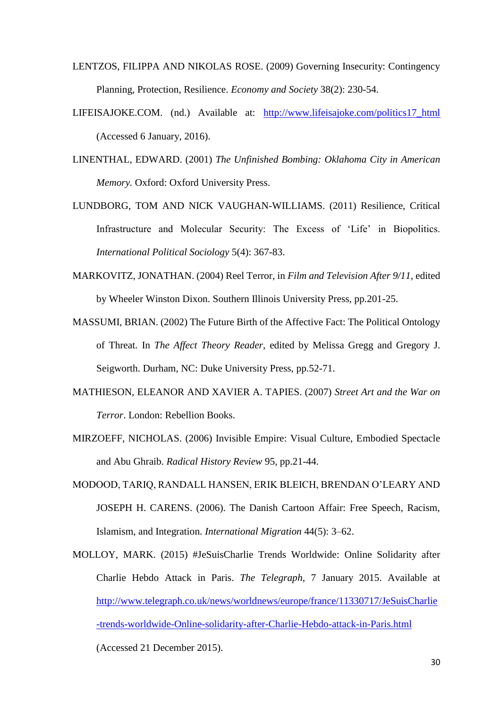- LENTZOS, FILIPPA AND NIKOLAS ROSE. (2009) Governing Insecurity: Contingency Planning, Protection, Resilience. *Economy and Society* 38(2): 230-54.
- LIFEISAJOKE.COM. (nd.) Available at: [http://www.lifeisajoke.com/politics17\\_html](http://www.lifeisajoke.com/politics17_html) (Accessed 6 January, 2016).
- LINENTHAL, EDWARD. (2001) *The Unfinished Bombing: Oklahoma City in American Memory.* Oxford: Oxford University Press.
- LUNDBORG, TOM AND NICK VAUGHAN-WILLIAMS. (2011) Resilience, Critical Infrastructure and Molecular Security: The Excess of 'Life' in Biopolitics. *International Political Sociology* 5(4): 367-83.
- MARKOVITZ, JONATHAN. (2004) Reel Terror, in *Film and Television After 9/11*, edited by Wheeler Winston Dixon. Southern Illinois University Press, pp.201-25.
- MASSUMI, BRIAN. (2002) The Future Birth of the Affective Fact: The Political Ontology of Threat. In *The Affect Theory Reader*, edited by Melissa Gregg and Gregory J. Seigworth. Durham, NC: Duke University Press, pp.52-71.
- MATHIESON, ELEANOR AND XAVIER A. TAPIES. (2007) *Street Art and the War on Terror*. London: Rebellion Books.
- MIRZOEFF, NICHOLAS. (2006) Invisible Empire: Visual Culture, Embodied Spectacle and Abu Ghraib. *Radical History Review* 95, pp.21-44.
- MODOOD, TARIQ, RANDALL HANSEN, ERIK BLEICH, BRENDAN O'LEARY AND JOSEPH H. CARENS. (2006). The Danish Cartoon Affair: Free Speech, Racism, Islamism, and Integration. *International Migration* 44(5): 3–62.
- MOLLOY, MARK. (2015) #JeSuisCharlie Trends Worldwide: Online Solidarity after Charlie Hebdo Attack in Paris. *The Telegraph*, 7 January 2015. Available at [http://www.telegraph.co.uk/news/worldnews/europe/france/11330717/JeSuisCharlie](http://www.telegraph.co.uk/news/worldnews/europe/france/11330717/JeSuisCharlie-trends-worldwide-Online-solidarity-after-Charlie-Hebdo-attack-in-Paris.html) [-trends-worldwide-Online-solidarity-after-Charlie-Hebdo-attack-in-Paris.html](http://www.telegraph.co.uk/news/worldnews/europe/france/11330717/JeSuisCharlie-trends-worldwide-Online-solidarity-after-Charlie-Hebdo-attack-in-Paris.html)

(Accessed 21 December 2015).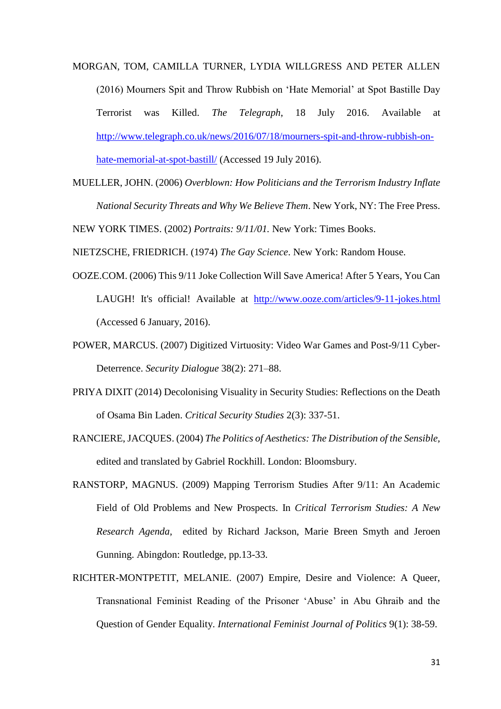- MORGAN, TOM, CAMILLA TURNER, LYDIA WILLGRESS AND PETER ALLEN (2016) Mourners Spit and Throw Rubbish on 'Hate Memorial' at Spot Bastille Day Terrorist was Killed. *The Telegraph*, 18 July 2016. Available at [http://www.telegraph.co.uk/news/2016/07/18/mourners-spit-and-throw-rubbish-on](http://www.telegraph.co.uk/news/2016/07/18/mourners-spit-and-throw-rubbish-on-hate-memorial-at-spot-bastill/)[hate-memorial-at-spot-bastill/](http://www.telegraph.co.uk/news/2016/07/18/mourners-spit-and-throw-rubbish-on-hate-memorial-at-spot-bastill/) (Accessed 19 July 2016).
- MUELLER, JOHN. (2006) *Overblown: How Politicians and the Terrorism Industry Inflate National Security Threats and Why We Believe Them*. New York, NY: The Free Press.

NEW YORK TIMES. (2002) *Portraits: 9/11/01.* New York: Times Books.

NIETZSCHE, FRIEDRICH. (1974) *The Gay Science*. New York: Random House.

- OOZE.COM. (2006) This 9/11 Joke Collection Will Save America! After 5 Years, You Can LAUGH! It's official! Available at <http://www.ooze.com/articles/9-11-jokes.html> (Accessed 6 January, 2016).
- POWER, MARCUS. (2007) Digitized Virtuosity: Video War Games and Post-9/11 Cyber-Deterrence. *Security Dialogue* 38(2): 271–88.
- PRIYA DIXIT (2014) Decolonising Visuality in Security Studies: Reflections on the Death of Osama Bin Laden. *Critical Security Studies* 2(3): 337-51.
- RANCIERE, JACQUES. (2004) *The Politics of Aesthetics: The Distribution of the Sensible,*  edited and translated by Gabriel Rockhill. London: Bloomsbury.
- RANSTORP, MAGNUS. (2009) Mapping Terrorism Studies After 9/11: An Academic Field of Old Problems and New Prospects. In *Critical Terrorism Studies: A New Research Agenda*, edited by Richard Jackson, Marie Breen Smyth and Jeroen Gunning. Abingdon: Routledge, pp.13-33.
- RICHTER-MONTPETIT, MELANIE. (2007) Empire, Desire and Violence: A Queer, Transnational Feminist Reading of the Prisoner 'Abuse' in Abu Ghraib and the Question of Gender Equality. *International Feminist Journal of Politics* 9(1): 38-59.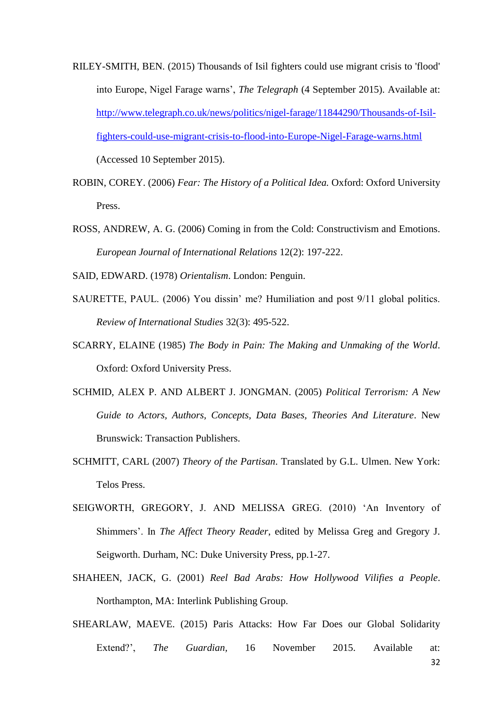- RILEY-SMITH, BEN. (2015) Thousands of Isil fighters could use migrant crisis to 'flood' into Europe, Nigel Farage warns', *The Telegraph* (4 September 2015). Available at: [http://www.telegraph.co.uk/news/politics/nigel-farage/11844290/Thousands-of-Isil](http://www.telegraph.co.uk/news/politics/nigel-farage/11844290/Thousands-of-Isil-fighters-could-use-migrant-crisis-to-flood-into-Europe-Nigel-Farage-warns.html)[fighters-could-use-migrant-crisis-to-flood-into-Europe-Nigel-Farage-warns.html](http://www.telegraph.co.uk/news/politics/nigel-farage/11844290/Thousands-of-Isil-fighters-could-use-migrant-crisis-to-flood-into-Europe-Nigel-Farage-warns.html) (Accessed 10 September 2015).
- ROBIN, COREY. (2006) *Fear: The History of a Political Idea.* Oxford: Oxford University Press.
- ROSS, ANDREW, A. G. (2006) Coming in from the Cold: Constructivism and Emotions. *European Journal of International Relations* 12(2): 197-222.

SAID, EDWARD. (1978) *Orientalism*. London: Penguin.

- SAURETTE, PAUL. (2006) You dissin' me? Humiliation and post 9/11 global politics. *Review of International Studies* 32(3): 495-522.
- SCARRY, ELAINE (1985) *The Body in Pain: The Making and Unmaking of the World*. Oxford: Oxford University Press.
- SCHMID, ALEX P. AND ALBERT J. JONGMAN. (2005) *Political Terrorism: A New Guide to Actors, Authors, Concepts, Data Bases, Theories And Literature*. New Brunswick: Transaction Publishers.
- SCHMITT, CARL (2007) *Theory of the Partisan*. Translated by G.L. Ulmen. New York: Telos Press.
- SEIGWORTH, GREGORY, J. AND MELISSA GREG. (2010) 'An Inventory of Shimmers'. In *The Affect Theory Reader*, edited by Melissa Greg and Gregory J. Seigworth. Durham, NC: Duke University Press, pp.1-27.
- SHAHEEN, JACK, G. (2001) *Reel Bad Arabs: How Hollywood Vilifies a People*. Northampton, MA: Interlink Publishing Group.
- SHEARLAW, MAEVE. (2015) Paris Attacks: How Far Does our Global Solidarity Extend?', *The Guardian,* 16 November 2015. Available at: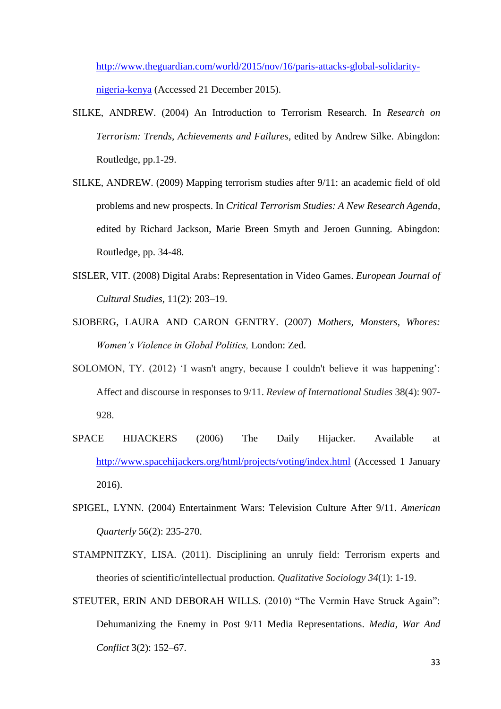[http://www.theguardian.com/world/2015/nov/16/paris-attacks-global-solidarity](http://www.theguardian.com/world/2015/nov/16/paris-attacks-global-solidarity-nigeria-kenya)[nigeria-kenya](http://www.theguardian.com/world/2015/nov/16/paris-attacks-global-solidarity-nigeria-kenya) (Accessed 21 December 2015).

- SILKE, ANDREW. (2004) An Introduction to Terrorism Research. In *Research on Terrorism: Trends, Achievements and Failures*, edited by Andrew Silke. Abingdon: Routledge, pp.1-29.
- SILKE, ANDREW. (2009) Mapping terrorism studies after 9/11: an academic field of old problems and new prospects. In *Critical Terrorism Studies: A New Research Agenda*, edited by Richard Jackson, Marie Breen Smyth and Jeroen Gunning. Abingdon: Routledge, pp. 34-48.
- SISLER, VIT. (2008) Digital Arabs: Representation in Video Games. *European Journal of Cultural Studies,* 11(2): 203–19.
- SJOBERG, LAURA AND CARON GENTRY. (2007) *Mothers, Monsters, Whores: Women's Violence in Global Politics,* London: Zed.
- SOLOMON, TY. (2012) 'I wasn't angry, because I couldn't believe it was happening': Affect and discourse in responses to 9/11. *Review of International Studies* 38(4): 907- 928.
- SPACE HIJACKERS (2006) The Daily Hijacker. Available at <http://www.spacehijackers.org/html/projects/voting/index.html> (Accessed 1 January 2016).
- SPIGEL, LYNN. (2004) Entertainment Wars: Television Culture After 9/11. *American Quarterly* 56(2): 235-270.
- STAMPNITZKY, LISA. (2011). Disciplining an unruly field: Terrorism experts and theories of scientific/intellectual production. *Qualitative Sociology 34*(1): 1-19.
- STEUTER, ERIN AND DEBORAH WILLS. (2010) "The Vermin Have Struck Again": Dehumanizing the Enemy in Post 9/11 Media Representations. *Media, War And Conflict* 3(2): 152–67.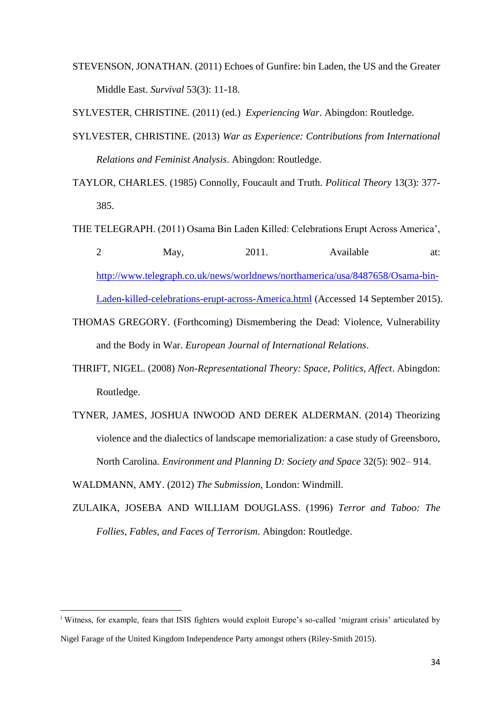STEVENSON, JONATHAN. (2011) Echoes of Gunfire: bin Laden, the US and the Greater Middle East. *Survival* 53(3): 11-18.

SYLVESTER, CHRISTINE. (2011) (ed.) *Experiencing War*. Abingdon: Routledge.

- SYLVESTER, CHRISTINE. (2013) *War as Experience: Contributions from International Relations and Feminist Analysis*. Abingdon: Routledge.
- TAYLOR, CHARLES. (1985) Connolly, Foucault and Truth. *Political Theory* 13(3): 377- 385.
- THE TELEGRAPH. (2011) Osama Bin Laden Killed: Celebrations Erupt Across America',
	- 2 May, 2011. Available at: [http://www.telegraph.co.uk/news/worldnews/northamerica/usa/8487658/Osama-bin-](http://www.telegraph.co.uk/news/worldnews/northamerica/usa/8487658/Osama-bin-Laden-killed-celebrations-erupt-across-America.html)[Laden-killed-celebrations-erupt-across-America.html](http://www.telegraph.co.uk/news/worldnews/northamerica/usa/8487658/Osama-bin-Laden-killed-celebrations-erupt-across-America.html) (Accessed 14 September 2015).
- THOMAS GREGORY. (Forthcoming) Dismembering the Dead: Violence, Vulnerability and the Body in War. *European Journal of International Relations*.
- THRIFT, NIGEL. (2008) *Non-Representational Theory: Space, Politics, Affect*. Abingdon: Routledge.
- TYNER, JAMES, JOSHUA INWOOD AND DEREK ALDERMAN. (2014) Theorizing violence and the dialectics of landscape memorialization: a case study of Greensboro, North Carolina. *Environment and Planning D: Society and Space* 32(5): 902– 914.

WALDMANN, AMY. (2012) *The Submission,* London: Windmill.

 $\overline{a}$ 

ZULAIKA, JOSEBA AND WILLIAM DOUGLASS. (1996) *Terror and Taboo: The Follies, Fables, and Faces of Terrorism*. Abingdon: Routledge.

<sup>i</sup> Witness, for example, fears that ISIS fighters would exploit Europe's so-called 'migrant crisis' articulated by Nigel Farage of the United Kingdom Independence Party amongst others (Riley-Smith 2015).